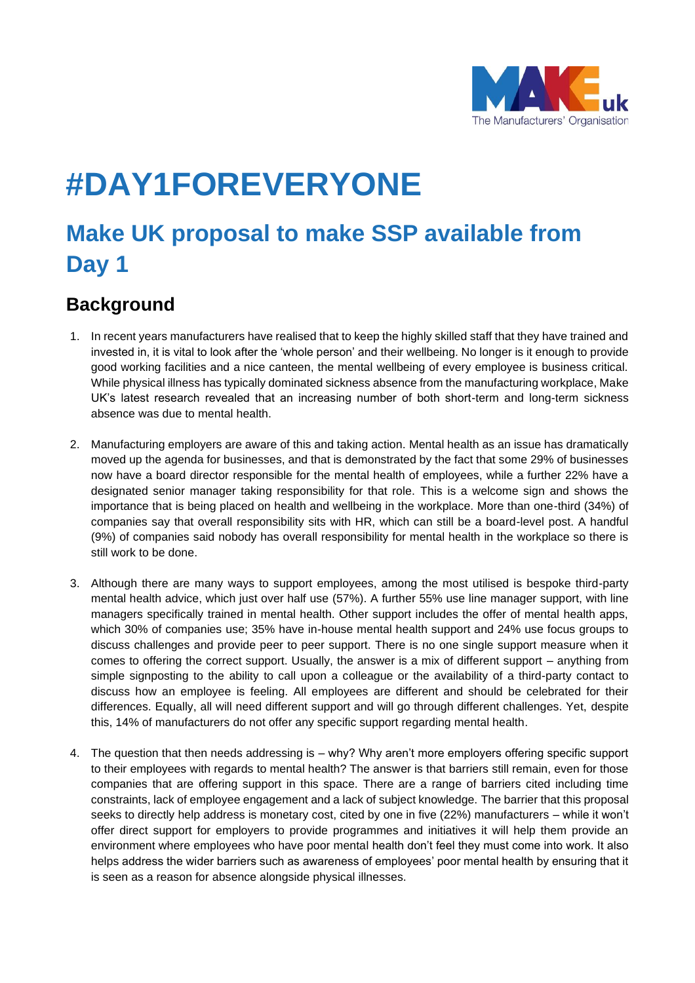

# **#DAY1FOREVERYONE**

## **Make UK proposal to make SSP available from Day 1**

## **Background**

- 1. In recent years manufacturers have realised that to keep the highly skilled staff that they have trained and invested in, it is vital to look after the 'whole person' and their wellbeing. No longer is it enough to provide good working facilities and a nice canteen, the mental wellbeing of every employee is business critical. While physical illness has typically dominated sickness absence from the manufacturing workplace, Make UK's latest research revealed that an increasing number of both short-term and long-term sickness absence was due to mental health.
- 2. Manufacturing employers are aware of this and taking action. Mental health as an issue has dramatically moved up the agenda for businesses, and that is demonstrated by the fact that some 29% of businesses now have a board director responsible for the mental health of employees, while a further 22% have a designated senior manager taking responsibility for that role. This is a welcome sign and shows the importance that is being placed on health and wellbeing in the workplace. More than one-third (34%) of companies say that overall responsibility sits with HR, which can still be a board-level post. A handful (9%) of companies said nobody has overall responsibility for mental health in the workplace so there is still work to be done.
- 3. Although there are many ways to support employees, among the most utilised is bespoke third-party mental health advice, which just over half use (57%). A further 55% use line manager support, with line managers specifically trained in mental health. Other support includes the offer of mental health apps, which 30% of companies use; 35% have in-house mental health support and 24% use focus groups to discuss challenges and provide peer to peer support. There is no one single support measure when it comes to offering the correct support. Usually, the answer is a mix of different support – anything from simple signposting to the ability to call upon a colleague or the availability of a third-party contact to discuss how an employee is feeling. All employees are different and should be celebrated for their differences. Equally, all will need different support and will go through different challenges. Yet, despite this, 14% of manufacturers do not offer any specific support regarding mental health.
- 4. The question that then needs addressing is why? Why aren't more employers offering specific support to their employees with regards to mental health? The answer is that barriers still remain, even for those companies that are offering support in this space. There are a range of barriers cited including time constraints, lack of employee engagement and a lack of subject knowledge. The barrier that this proposal seeks to directly help address is monetary cost, cited by one in five (22%) manufacturers – while it won't offer direct support for employers to provide programmes and initiatives it will help them provide an environment where employees who have poor mental health don't feel they must come into work. It also helps address the wider barriers such as awareness of employees' poor mental health by ensuring that it is seen as a reason for absence alongside physical illnesses.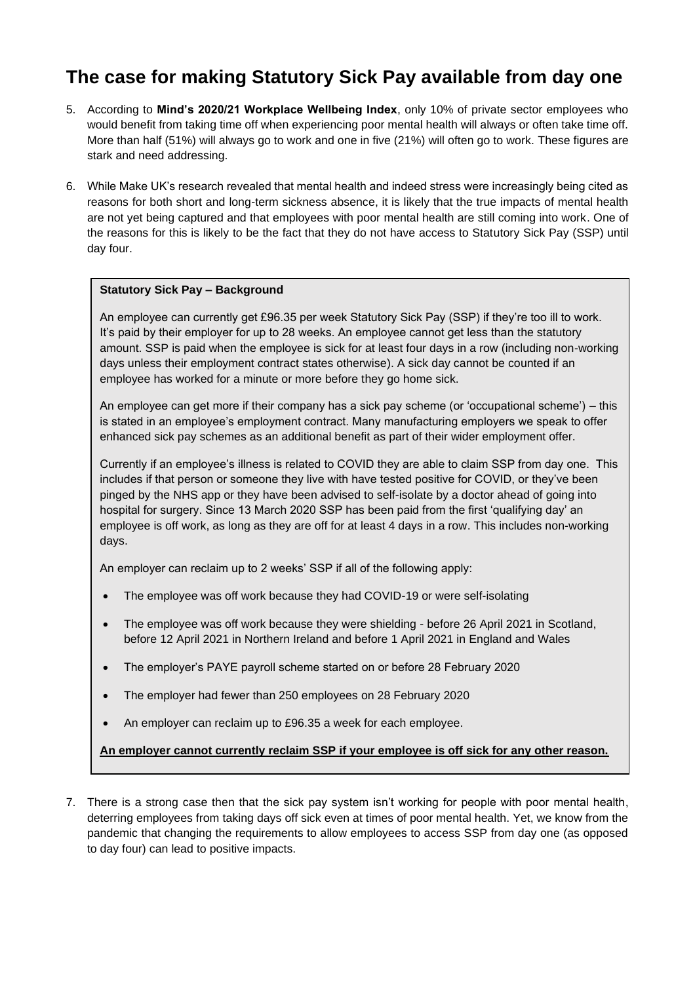## **The case for making Statutory Sick Pay available from day one**

- 5. According to **Mind's 2020/21 Workplace Wellbeing Index**, only 10% of private sector employees who would benefit from taking time off when experiencing poor mental health will always or often take time off. More than half (51%) will always go to work and one in five (21%) will often go to work. These figures are stark and need addressing.
- 6. While Make UK's research revealed that mental health and indeed stress were increasingly being cited as reasons for both short and long-term sickness absence, it is likely that the true impacts of mental health are not yet being captured and that employees with poor mental health are still coming into work. One of the reasons for this is likely to be the fact that they do not have access to Statutory Sick Pay (SSP) until day four.

#### **Statutory Sick Pay – Background**

An employee can currently get £96.35 per week Statutory Sick Pay (SSP) if they're too ill to work. It's paid by their employer for up to 28 weeks. An employee cannot get less than the statutory amount. SSP is paid when the employee is sick for at least four days in a row (including non-working days unless their employment contract states otherwise). A sick day cannot be counted if an employee has worked for a minute or more before they go home sick.

An employee can get more if their company has a sick pay scheme (or 'occupational scheme') – this is stated in an employee's employment contract. Many manufacturing employers we speak to offer enhanced sick pay schemes as an additional benefit as part of their wider employment offer.

Currently if an employee's illness is related to COVID they are able to claim SSP from day one. This includes if that person or someone they live with have tested positive for COVID, or they've been pinged by the NHS app or they have been advised to self-isolate by a doctor ahead of going into hospital for surgery. Since 13 March 2020 SSP has been paid from the first 'qualifying day' an employee is off work, as long as they are off for at least 4 days in a row. This includes non-working days.

An employer can reclaim up to 2 weeks' SSP if all of the following apply:

- The employee was off work because they had COVID-19 or were self-isolating
- The employee was off work because they were shielding before 26 April 2021 in Scotland, before 12 April 2021 in Northern Ireland and before 1 April 2021 in England and Wales
- The employer's PAYE payroll scheme started on or before 28 February 2020
- The employer had fewer than 250 employees on 28 February 2020
- An employer can reclaim up to £96.35 a week for each employee.

#### **An employer cannot currently reclaim SSP if your employee is off sick for any other reason.**

7. There is a strong case then that the sick pay system isn't working for people with poor mental health, deterring employees from taking days off sick even at times of poor mental health. Yet, we know from the pandemic that changing the requirements to allow employees to access SSP from day one (as opposed to day four) can lead to positive impacts.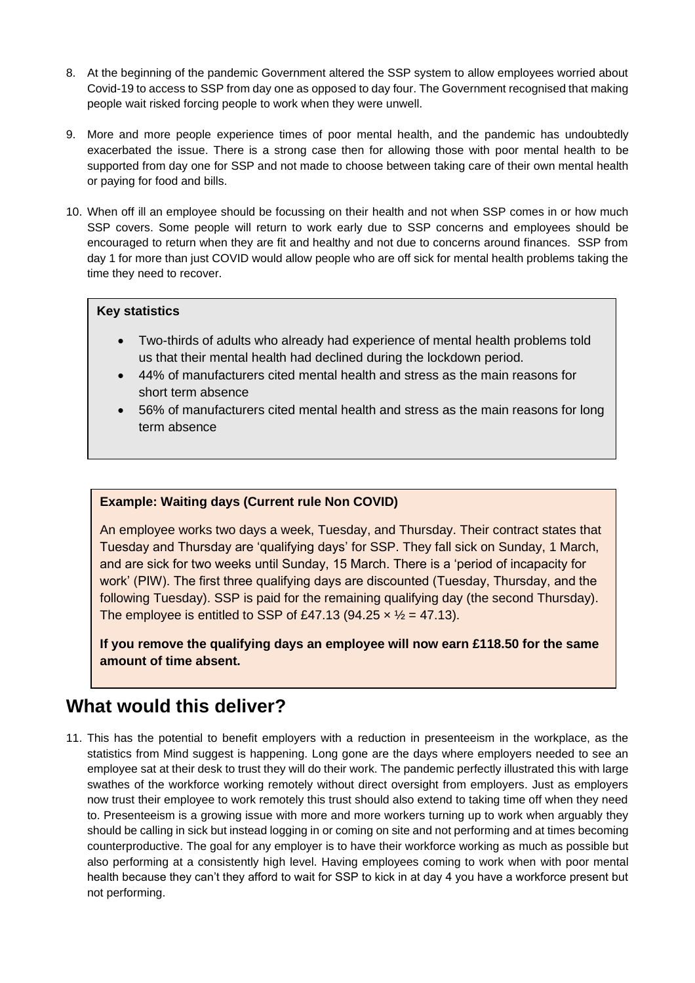- 8. At the beginning of the pandemic Government altered the SSP system to allow employees worried about Covid-19 to access to SSP from day one as opposed to day four. The Government recognised that making people wait risked forcing people to work when they were unwell.
- 9. More and more people experience times of poor mental health, and the pandemic has undoubtedly exacerbated the issue. There is a strong case then for allowing those with poor mental health to be supported from day one for SSP and not made to choose between taking care of their own mental health or paying for food and bills.
- 10. When off ill an employee should be focussing on their health and not when SSP comes in or how much SSP covers. Some people will return to work early due to SSP concerns and employees should be encouraged to return when they are fit and healthy and not due to concerns around finances. SSP from day 1 for more than just COVID would allow people who are off sick for mental health problems taking the time they need to recover.

#### **Key statistics**

- Two-thirds of adults who already had experience of mental health problems told us that their mental health had declined during the lockdown period.
- 44% of manufacturers cited mental health and stress as the main reasons for short term absence
- 56% of manufacturers cited mental health and stress as the main reasons for long term absence

#### **Example: Waiting days (Current rule Non COVID)**

An employee works two days a week, Tuesday, and Thursday. Their contract states that Tuesday and Thursday are 'qualifying days' for SSP. They fall sick on Sunday, 1 March, and are sick for two weeks until Sunday, 15 March. There is a 'period of incapacity for work' (PIW). The first three qualifying days are discounted (Tuesday, Thursday, and the following Tuesday). SSP is paid for the remaining qualifying day (the second Thursday). The employee is entitled to SSP of £47.13 (94.25  $\times$   $\frac{1}{2}$  = 47.13).

**If you remove the qualifying days an employee will now earn £118.50 for the same amount of time absent.**

### **What would this deliver?**

11. This has the potential to benefit employers with a reduction in presenteeism in the workplace, as the statistics from Mind suggest is happening. Long gone are the days where employers needed to see an employee sat at their desk to trust they will do their work. The pandemic perfectly illustrated this with large swathes of the workforce working remotely without direct oversight from employers. Just as employers now trust their employee to work remotely this trust should also extend to taking time off when they need to. Presenteeism is a growing issue with more and more workers turning up to work when arguably they should be calling in sick but instead logging in or coming on site and not performing and at times becoming counterproductive. The goal for any employer is to have their workforce working as much as possible but also performing at a consistently high level. Having employees coming to work when with poor mental health because they can't they afford to wait for SSP to kick in at day 4 you have a workforce present but not performing.